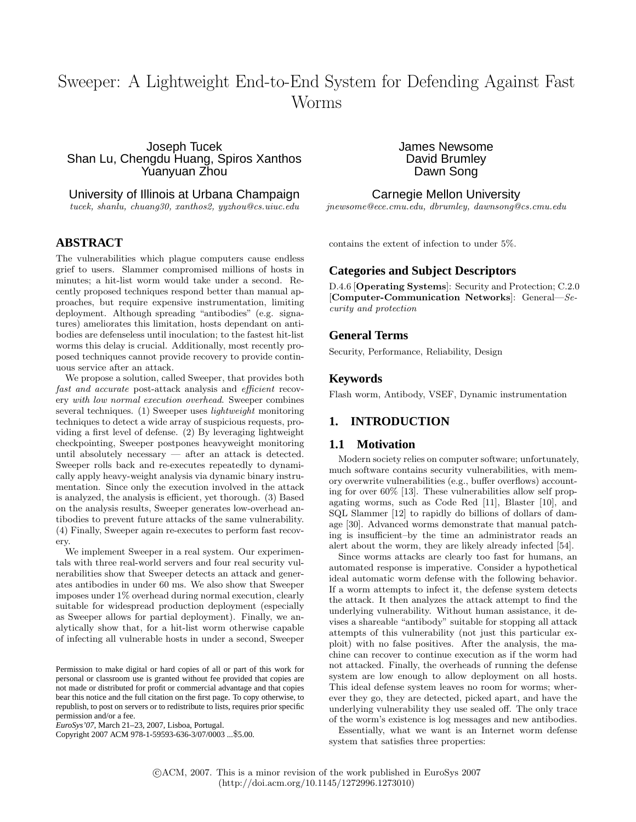# Sweeper: A Lightweight End-to-End System for Defending Against Fast Worms

Joseph Tucek Shan Lu, Chengdu Huang, Spiros Xanthos Yuanyuan Zhou

# University of Illinois at Urbana Champaign

tucek, shanlu, chuang30, xanthos2, yyzhou@cs.uiuc.edu

# **ABSTRACT**

The vulnerabilities which plague computers cause endless grief to users. Slammer compromised millions of hosts in minutes; a hit-list worm would take under a second. Recently proposed techniques respond better than manual approaches, but require expensive instrumentation, limiting deployment. Although spreading "antibodies" (e.g. signatures) ameliorates this limitation, hosts dependant on antibodies are defenseless until inoculation; to the fastest hit-list worms this delay is crucial. Additionally, most recently proposed techniques cannot provide recovery to provide continuous service after an attack.

We propose a solution, called Sweeper, that provides both fast and accurate post-attack analysis and *efficient* recovery with low normal execution overhead. Sweeper combines several techniques. (1) Sweeper uses lightweight monitoring techniques to detect a wide array of suspicious requests, providing a first level of defense. (2) By leveraging lightweight checkpointing, Sweeper postpones heavyweight monitoring until absolutely necessary — after an attack is detected. Sweeper rolls back and re-executes repeatedly to dynamically apply heavy-weight analysis via dynamic binary instrumentation. Since only the execution involved in the attack is analyzed, the analysis is efficient, yet thorough. (3) Based on the analysis results, Sweeper generates low-overhead antibodies to prevent future attacks of the same vulnerability. (4) Finally, Sweeper again re-executes to perform fast recovery.

We implement Sweeper in a real system. Our experimentals with three real-world servers and four real security vulnerabilities show that Sweeper detects an attack and generates antibodies in under 60 ms. We also show that Sweeper imposes under 1% overhead during normal execution, clearly suitable for widespread production deployment (especially as Sweeper allows for partial deployment). Finally, we analytically show that, for a hit-list worm otherwise capable of infecting all vulnerable hosts in under a second, Sweeper

*EuroSys'07,* March 21–23, 2007, Lisboa, Portugal.

Copyright 2007 ACM 978-1-59593-636-3/07/0003 ...\$5.00.

James Newsome David Brumley Dawn Song

Carnegie Mellon University

jnewsome@ece.cmu.edu, dbrumley, dawnsong@cs.cmu.edu

contains the extent of infection to under 5%.

# **Categories and Subject Descriptors**

D.4.6 [Operating Systems]: Security and Protection; C.2.0 [Computer-Communication Networks]: General—Security and protection

#### **General Terms**

Security, Performance, Reliability, Design

#### **Keywords**

Flash worm, Antibody, VSEF, Dynamic instrumentation

# **1. INTRODUCTION**

## **1.1 Motivation**

Modern society relies on computer software; unfortunately, much software contains security vulnerabilities, with memory overwrite vulnerabilities (e.g., buffer overflows) accounting for over 60% [13]. These vulnerabilities allow self propagating worms, such as Code Red [11], Blaster [10], and SQL Slammer [12] to rapidly do billions of dollars of damage [30]. Advanced worms demonstrate that manual patching is insufficient–by the time an administrator reads an alert about the worm, they are likely already infected [54].

Since worms attacks are clearly too fast for humans, an automated response is imperative. Consider a hypothetical ideal automatic worm defense with the following behavior. If a worm attempts to infect it, the defense system detects the attack. It then analyzes the attack attempt to find the underlying vulnerability. Without human assistance, it devises a shareable "antibody" suitable for stopping all attack attempts of this vulnerability (not just this particular exploit) with no false positives. After the analysis, the machine can recover to continue execution as if the worm had not attacked. Finally, the overheads of running the defense system are low enough to allow deployment on all hosts. This ideal defense system leaves no room for worms; wherever they go, they are detected, picked apart, and have the underlying vulnerability they use sealed off. The only trace of the worm's existence is log messages and new antibodies.

Essentially, what we want is an Internet worm defense system that satisfies three properties:

Permission to make digital or hard copies of all or part of this work for personal or classroom use is granted without fee provided that copies are not made or distributed for profit or commercial advantage and that copies bear this notice and the full citation on the first page. To copy otherwise, to republish, to post on servers or to redistribute to lists, requires prior specific permission and/or a fee.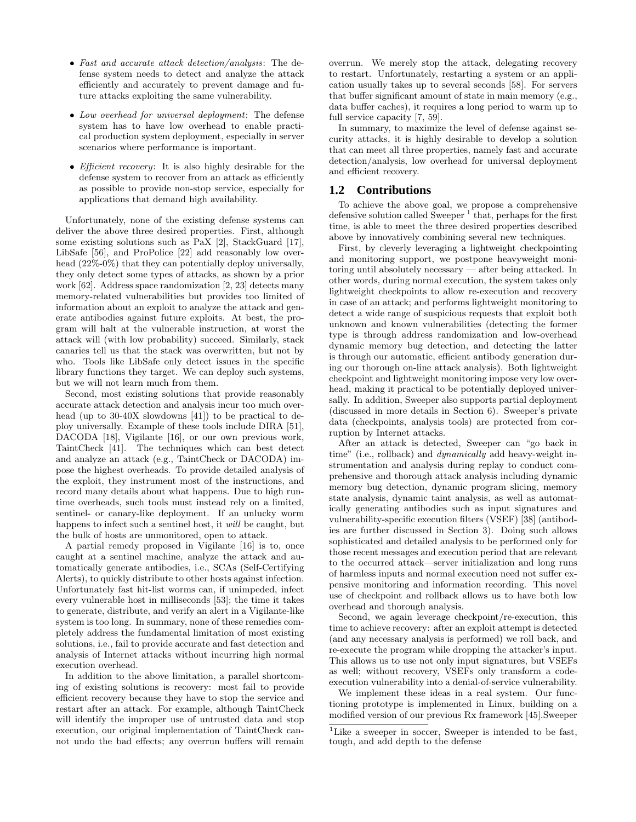- Fast and accurate attack detection/analysis: The defense system needs to detect and analyze the attack efficiently and accurately to prevent damage and future attacks exploiting the same vulnerability.
- Low overhead for universal deployment: The defense system has to have low overhead to enable practical production system deployment, especially in server scenarios where performance is important.
- *Efficient recovery*: It is also highly desirable for the defense system to recover from an attack as efficiently as possible to provide non-stop service, especially for applications that demand high availability.

Unfortunately, none of the existing defense systems can deliver the above three desired properties. First, although some existing solutions such as PaX [2], StackGuard [17], LibSafe [56], and ProPolice [22] add reasonably low overhead (22%-0%) that they can potentially deploy universally, they only detect some types of attacks, as shown by a prior work [62]. Address space randomization [2, 23] detects many memory-related vulnerabilities but provides too limited of information about an exploit to analyze the attack and generate antibodies against future exploits. At best, the program will halt at the vulnerable instruction, at worst the attack will (with low probability) succeed. Similarly, stack canaries tell us that the stack was overwritten, but not by who. Tools like LibSafe only detect issues in the specific library functions they target. We can deploy such systems, but we will not learn much from them.

Second, most existing solutions that provide reasonably accurate attack detection and analysis incur too much overhead (up to 30-40X slowdowns [41]) to be practical to deploy universally. Example of these tools include DIRA [51], DACODA [18], Vigilante [16], or our own previous work, TaintCheck [41]. The techniques which can best detect and analyze an attack (e.g., TaintCheck or DACODA) impose the highest overheads. To provide detailed analysis of the exploit, they instrument most of the instructions, and record many details about what happens. Due to high runtime overheads, such tools must instead rely on a limited, sentinel- or canary-like deployment. If an unlucky worm happens to infect such a sentinel host, it will be caught, but the bulk of hosts are unmonitored, open to attack.

A partial remedy proposed in Vigilante [16] is to, once caught at a sentinel machine, analyze the attack and automatically generate antibodies, i.e., SCAs (Self-Certifying Alerts), to quickly distribute to other hosts against infection. Unfortunately fast hit-list worms can, if unimpeded, infect every vulnerable host in milliseconds [53]; the time it takes to generate, distribute, and verify an alert in a Vigilante-like system is too long. In summary, none of these remedies completely address the fundamental limitation of most existing solutions, i.e., fail to provide accurate and fast detection and analysis of Internet attacks without incurring high normal execution overhead.

In addition to the above limitation, a parallel shortcoming of existing solutions is recovery: most fail to provide efficient recovery because they have to stop the service and restart after an attack. For example, although TaintCheck will identify the improper use of untrusted data and stop execution, our original implementation of TaintCheck cannot undo the bad effects; any overrun buffers will remain overrun. We merely stop the attack, delegating recovery to restart. Unfortunately, restarting a system or an application usually takes up to several seconds [58]. For servers that buffer significant amount of state in main memory (e.g., data buffer caches), it requires a long period to warm up to full service capacity [7, 59].

In summary, to maximize the level of defense against security attacks, it is highly desirable to develop a solution that can meet all three properties, namely fast and accurate detection/analysis, low overhead for universal deployment and efficient recovery.

# **1.2 Contributions**

To achieve the above goal, we propose a comprehensive defensive solution called Sweeper<sup>1</sup> that, perhaps for the first time, is able to meet the three desired properties described above by innovatively combining several new techniques.

First, by cleverly leveraging a lightweight checkpointing and monitoring support, we postpone heavyweight monitoring until absolutely necessary — after being attacked. In other words, during normal execution, the system takes only lightweight checkpoints to allow re-execution and recovery in case of an attack; and performs lightweight monitoring to detect a wide range of suspicious requests that exploit both unknown and known vulnerabilities (detecting the former type is through address randomization and low-overhead dynamic memory bug detection, and detecting the latter is through our automatic, efficient antibody generation during our thorough on-line attack analysis). Both lightweight checkpoint and lightweight monitoring impose very low overhead, making it practical to be potentially deployed universally. In addition, Sweeper also supports partial deployment (discussed in more details in Section 6). Sweeper's private data (checkpoints, analysis tools) are protected from corruption by Internet attacks.

After an attack is detected, Sweeper can "go back in time" (i.e., rollback) and *dynamically* add heavy-weight instrumentation and analysis during replay to conduct comprehensive and thorough attack analysis including dynamic memory bug detection, dynamic program slicing, memory state analysis, dynamic taint analysis, as well as automatically generating antibodies such as input signatures and vulnerability-specific execution filters (VSEF) [38] (antibodies are further discussed in Section 3). Doing such allows sophisticated and detailed analysis to be performed only for those recent messages and execution period that are relevant to the occurred attack—server initialization and long runs of harmless inputs and normal execution need not suffer expensive monitoring and information recording. This novel use of checkpoint and rollback allows us to have both low overhead and thorough analysis.

Second, we again leverage checkpoint/re-execution, this time to achieve recovery: after an exploit attempt is detected (and any necessary analysis is performed) we roll back, and re-execute the program while dropping the attacker's input. This allows us to use not only input signatures, but VSEFs as well; without recovery, VSEFs only transform a codeexecution vulnerability into a denial-of-service vulnerability.

We implement these ideas in a real system. Our functioning prototype is implemented in Linux, building on a modified version of our previous Rx framework [45].Sweeper

<sup>&</sup>lt;sup>1</sup>Like a sweeper in soccer, Sweeper is intended to be fast, tough, and add depth to the defense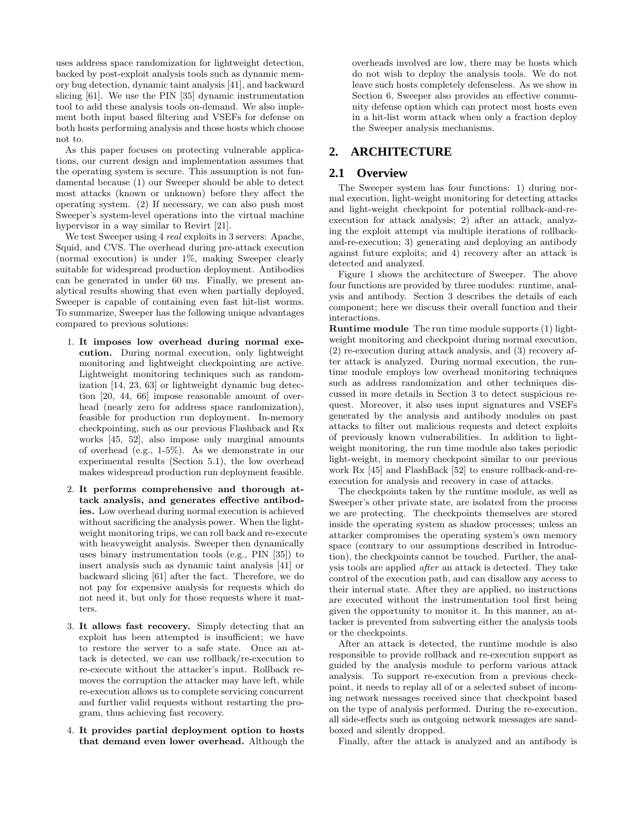uses address space randomization for lightweight detection, backed by post-exploit analysis tools such as dynamic memory bug detection, dynamic taint analysis [41], and backward slicing [61]. We use the PIN [35] dynamic instrumentation tool to add these analysis tools on-demand. We also implement both input based filtering and VSEFs for defense on both hosts performing analysis and those hosts which choose not to.

As this paper focuses on protecting vulnerable applications, our current design and implementation assumes that the operating system is secure. This assumption is not fundamental because (1) our Sweeper should be able to detect most attacks (known or unknown) before they affect the operating system. (2) If necessary, we can also push most Sweeper's system-level operations into the virtual machine hypervisor in a way similar to Revirt [21].

We test Sweeper using 4 real exploits in 3 servers: Apache, Squid, and CVS. The overhead during pre-attack execution (normal execution) is under 1%, making Sweeper clearly suitable for widespread production deployment. Antibodies can be generated in under 60 ms. Finally, we present analytical results showing that even when partially deployed, Sweeper is capable of containing even fast hit-list worms. To summarize, Sweeper has the following unique advantages compared to previous solutions:

- 1. It imposes low overhead during normal execution. During normal execution, only lightweight monitoring and lightweight checkpointing are active. Lightweight monitoring techniques such as randomization [14, 23, 63] or lightweight dynamic bug detection [20, 44, 66] impose reasonable amount of overhead (nearly zero for address space randomization), feasible for production run deployment. In-memory checkpointing, such as our previous Flashback and Rx works [45, 52], also impose only marginal amounts of overhead (e.g., 1-5%). As we demonstrate in our experimental results (Section 5.1), the low overhead makes widespread production run deployment feasible.
- 2. It performs comprehensive and thorough attack analysis, and generates effective antibodies. Low overhead during normal execution is achieved without sacrificing the analysis power. When the lightweight monitoring trips, we can roll back and re-execute with heavyweight analysis. Sweeper then dynamically uses binary instrumentation tools (e.g., PIN [35]) to insert analysis such as dynamic taint analysis [41] or backward slicing [61] after the fact. Therefore, we do not pay for expensive analysis for requests which do not need it, but only for those requests where it matters.
- 3. It allows fast recovery. Simply detecting that an exploit has been attempted is insufficient; we have to restore the server to a safe state. Once an attack is detected, we can use rollback/re-execution to re-execute without the attacker's input. Rollback removes the corruption the attacker may have left, while re-execution allows us to complete servicing concurrent and further valid requests without restarting the program, thus achieving fast recovery.
- 4. It provides partial deployment option to hosts that demand even lower overhead. Although the

overheads involved are low, there may be hosts which do not wish to deploy the analysis tools. We do not leave such hosts completely defenseless. As we show in Section 6, Sweeper also provides an effective community defense option which can protect most hosts even in a hit-list worm attack when only a fraction deploy the Sweeper analysis mechanisms.

# **2. ARCHITECTURE**

# **2.1 Overview**

The Sweeper system has four functions: 1) during normal execution, light-weight monitoring for detecting attacks and light-weight checkpoint for potential rollback-and-reexecution for attack analysis; 2) after an attack, analyzing the exploit attempt via multiple iterations of rollbackand-re-execution; 3) generating and deploying an antibody against future exploits; and 4) recovery after an attack is detected and analyzed.

Figure 1 shows the architecture of Sweeper. The above four functions are provided by three modules: runtime, analysis and antibody. Section 3 describes the details of each component; here we discuss their overall function and their interactions.

Runtime module The run time module supports (1) lightweight monitoring and checkpoint during normal execution, (2) re-execution during attack analysis, and (3) recovery after attack is analyzed. During normal execution, the runtime module employs low overhead monitoring techniques such as address randomization and other techniques discussed in more details in Section 3 to detect suspicious request. Moreover, it also uses input signatures and VSEFs generated by the analysis and antibody modules on past attacks to filter out malicious requests and detect exploits of previously known vulnerabilities. In addition to lightweight monitoring, the run time module also takes periodic light-weight, in memory checkpoint similar to our previous work Rx [45] and FlashBack [52] to ensure rollback-and-reexecution for analysis and recovery in case of attacks.

The checkpoints taken by the runtime module, as well as Sweeper's other private state, are isolated from the process we are protecting. The checkpoints themselves are stored inside the operating system as shadow processes; unless an attacker compromises the operating system's own memory space (contrary to our assumptions described in Introduction), the checkpoints cannot be touched. Further, the analysis tools are applied after an attack is detected. They take control of the execution path, and can disallow any access to their internal state. After they are applied, no instructions are executed without the instrumentation tool first being given the opportunity to monitor it. In this manner, an attacker is prevented from subverting either the analysis tools or the checkpoints.

After an attack is detected, the runtime module is also responsible to provide rollback and re-execution support as guided by the analysis module to perform various attack analysis. To support re-execution from a previous checkpoint, it needs to replay all of or a selected subset of incoming network messages received since that checkpoint based on the type of analysis performed. During the re-execution, all side-effects such as outgoing network messages are sandboxed and silently dropped.

Finally, after the attack is analyzed and an antibody is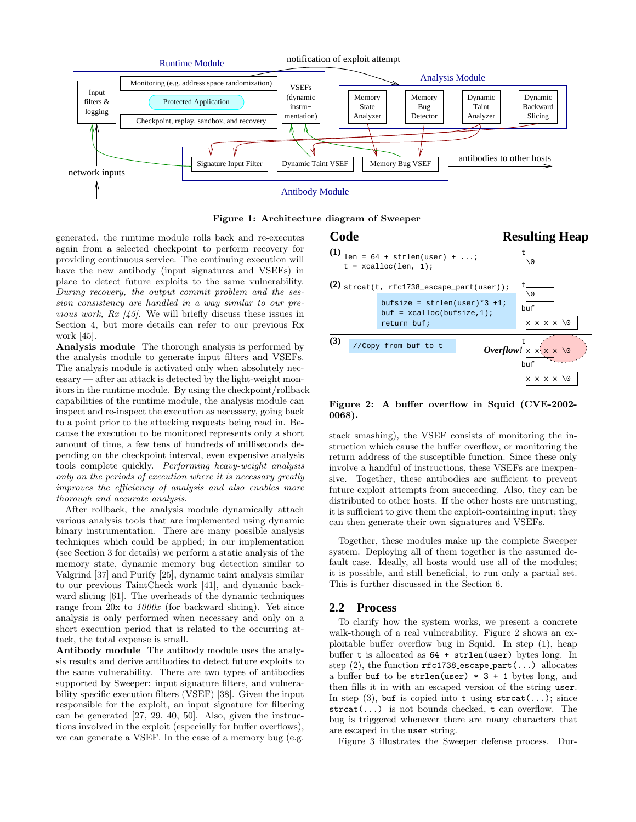

Figure 1: Architecture diagram of Sweeper

generated, the runtime module rolls back and re-executes again from a selected checkpoint to perform recovery for providing continuous service. The continuing execution will have the new antibody (input signatures and VSEFs) in place to detect future exploits to the same vulnerability. During recovery, the output commit problem and the session consistency are handled in a way similar to our pre*vious work, Rx [45]*. We will briefly discuss these issues in Section 4, but more details can refer to our previous Rx work [45].

Analysis module The thorough analysis is performed by the analysis module to generate input filters and VSEFs. The analysis module is activated only when absolutely necessary — after an attack is detected by the light-weight monitors in the runtime module. By using the checkpoint/rollback capabilities of the runtime module, the analysis module can inspect and re-inspect the execution as necessary, going back to a point prior to the attacking requests being read in. Because the execution to be monitored represents only a short amount of time, a few tens of hundreds of milliseconds depending on the checkpoint interval, even expensive analysis tools complete quickly. Performing heavy-weight analysis only on the periods of execution where it is necessary greatly improves the efficiency of analysis and also enables more thorough and accurate analysis.

After rollback, the analysis module dynamically attach various analysis tools that are implemented using dynamic binary instrumentation. There are many possible analysis techniques which could be applied; in our implementation (see Section 3 for details) we perform a static analysis of the memory state, dynamic memory bug detection similar to Valgrind [37] and Purify [25], dynamic taint analysis similar to our previous TaintCheck work [41], and dynamic backward slicing [61]. The overheads of the dynamic techniques range from  $20x$  to  $1000x$  (for backward slicing). Yet since analysis is only performed when necessary and only on a short execution period that is related to the occurring attack, the total expense is small.

Antibody module The antibody module uses the analysis results and derive antibodies to detect future exploits to the same vulnerability. There are two types of antibodies supported by Sweeper: input signature filters, and vulnerability specific execution filters (VSEF) [38]. Given the input responsible for the exploit, an input signature for filtering can be generated [27, 29, 40, 50]. Also, given the instructions involved in the exploit (especially for buffer overflows), we can generate a VSEF. In the case of a memory bug (e.g.

# **Code**



#### Figure 2: A buffer overflow in Squid (CVE-2002- 0068).

stack smashing), the VSEF consists of monitoring the instruction which cause the buffer overflow, or monitoring the return address of the susceptible function. Since these only involve a handful of instructions, these VSEFs are inexpensive. Together, these antibodies are sufficient to prevent future exploit attempts from succeeding. Also, they can be distributed to other hosts. If the other hosts are untrusting, it is sufficient to give them the exploit-containing input; they can then generate their own signatures and VSEFs.

Together, these modules make up the complete Sweeper system. Deploying all of them together is the assumed default case. Ideally, all hosts would use all of the modules; it is possible, and still beneficial, to run only a partial set. This is further discussed in the Section 6.

### **2.2 Process**

To clarify how the system works, we present a concrete walk-though of a real vulnerability. Figure 2 shows an exploitable buffer overflow bug in Squid. In step (1), heap buffer t is allocated as 64 + strlen(user) bytes long. In step  $(2)$ , the function rfc1738 escape part $(\ldots)$  allocates a buffer buf to be strlen(user)  $* 3 + 1$  bytes long, and then fills it in with an escaped version of the string user. In step  $(3)$ , buf is copied into t using strcat $(\ldots)$ ; since strcat(...) is not bounds checked, t can overflow. The bug is triggered whenever there are many characters that are escaped in the user string.

Figure 3 illustrates the Sweeper defense process. Dur-

# **Resulting Heap**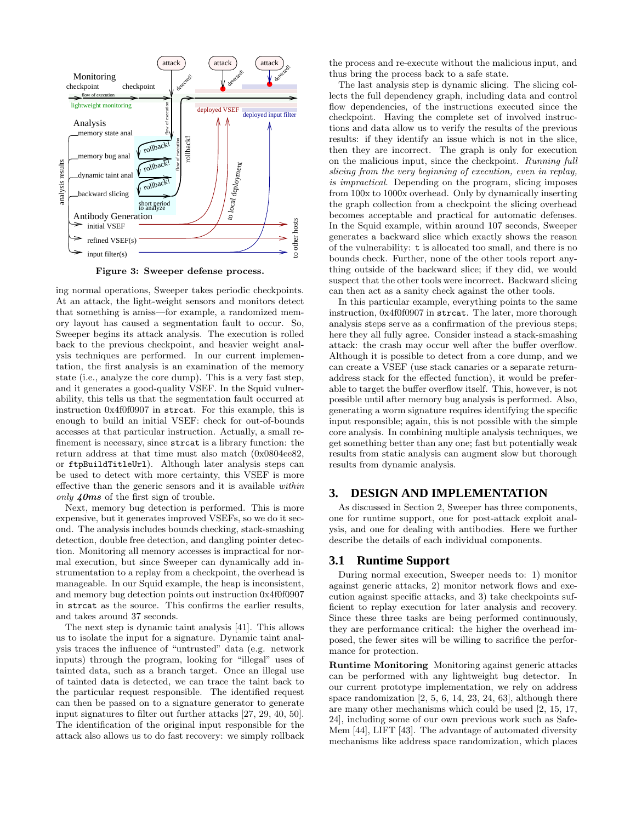

Figure 3: Sweeper defense process.

ing normal operations, Sweeper takes periodic checkpoints. At an attack, the light-weight sensors and monitors detect that something is amiss—for example, a randomized memory layout has caused a segmentation fault to occur. So, Sweeper begins its attack analysis. The execution is rolled back to the previous checkpoint, and heavier weight analysis techniques are performed. In our current implementation, the first analysis is an examination of the memory state (i.e., analyze the core dump). This is a very fast step, and it generates a good-quality VSEF. In the Squid vulnerability, this tells us that the segmentation fault occurred at instruction 0x4f0f0907 in strcat. For this example, this is enough to build an initial VSEF: check for out-of-bounds accesses at that particular instruction. Actually, a small refinement is necessary, since strcat is a library function: the return address at that time must also match (0x0804ee82, or ftpBuildTitleUrl). Although later analysis steps can be used to detect with more certainty, this VSEF is more effective than the generic sensors and it is available within only  $40ms$  of the first sign of trouble.

Next, memory bug detection is performed. This is more expensive, but it generates improved VSEFs, so we do it second. The analysis includes bounds checking, stack-smashing detection, double free detection, and dangling pointer detection. Monitoring all memory accesses is impractical for normal execution, but since Sweeper can dynamically add instrumentation to a replay from a checkpoint, the overhead is manageable. In our Squid example, the heap is inconsistent, and memory bug detection points out instruction 0x4f0f0907 in strcat as the source. This confirms the earlier results, and takes around 37 seconds.

The next step is dynamic taint analysis [41]. This allows us to isolate the input for a signature. Dynamic taint analysis traces the influence of "untrusted" data (e.g. network inputs) through the program, looking for "illegal" uses of tainted data, such as a branch target. Once an illegal use of tainted data is detected, we can trace the taint back to the particular request responsible. The identified request can then be passed on to a signature generator to generate input signatures to filter out further attacks [27, 29, 40, 50]. The identification of the original input responsible for the attack also allows us to do fast recovery: we simply rollback

the process and re-execute without the malicious input, and thus bring the process back to a safe state.

The last analysis step is dynamic slicing. The slicing collects the full dependency graph, including data and control flow dependencies, of the instructions executed since the checkpoint. Having the complete set of involved instructions and data allow us to verify the results of the previous results: if they identify an issue which is not in the slice, then they are incorrect. The graph is only for execution on the malicious input, since the checkpoint. Running full slicing from the very beginning of execution, even in replay, is impractical. Depending on the program, slicing imposes from 100x to 1000x overhead. Only by dynamically inserting the graph collection from a checkpoint the slicing overhead becomes acceptable and practical for automatic defenses. In the Squid example, within around 107 seconds, Sweeper generates a backward slice which exactly shows the reason of the vulnerability: t is allocated too small, and there is no bounds check. Further, none of the other tools report anything outside of the backward slice; if they did, we would suspect that the other tools were incorrect. Backward slicing can then act as a sanity check against the other tools.

In this particular example, everything points to the same instruction, 0x4f0f0907 in strcat. The later, more thorough analysis steps serve as a confirmation of the previous steps; here they all fully agree. Consider instead a stack-smashing attack: the crash may occur well after the buffer overflow. Although it is possible to detect from a core dump, and we can create a VSEF (use stack canaries or a separate returnaddress stack for the effected function), it would be preferable to target the buffer overflow itself. This, however, is not possible until after memory bug analysis is performed. Also, generating a worm signature requires identifying the specific input responsible; again, this is not possible with the simple core analysis. In combining multiple analysis techniques, we get something better than any one; fast but potentially weak results from static analysis can augment slow but thorough results from dynamic analysis.

# **3. DESIGN AND IMPLEMENTATION**

As discussed in Section 2, Sweeper has three components, one for runtime support, one for post-attack exploit analysis, and one for dealing with antibodies. Here we further describe the details of each individual components.

#### **3.1 Runtime Support**

During normal execution, Sweeper needs to: 1) monitor against generic attacks, 2) monitor network flows and execution against specific attacks, and 3) take checkpoints sufficient to replay execution for later analysis and recovery. Since these three tasks are being performed continuously, they are performance critical: the higher the overhead imposed, the fewer sites will be willing to sacrifice the performance for protection.

Runtime Monitoring Monitoring against generic attacks can be performed with any lightweight bug detector. In our current prototype implementation, we rely on address space randomization  $[2, 5, 6, 14, 23, 24, 63]$ , although there are many other mechanisms which could be used [2, 15, 17, 24], including some of our own previous work such as Safe-Mem [44], LIFT [43]. The advantage of automated diversity mechanisms like address space randomization, which places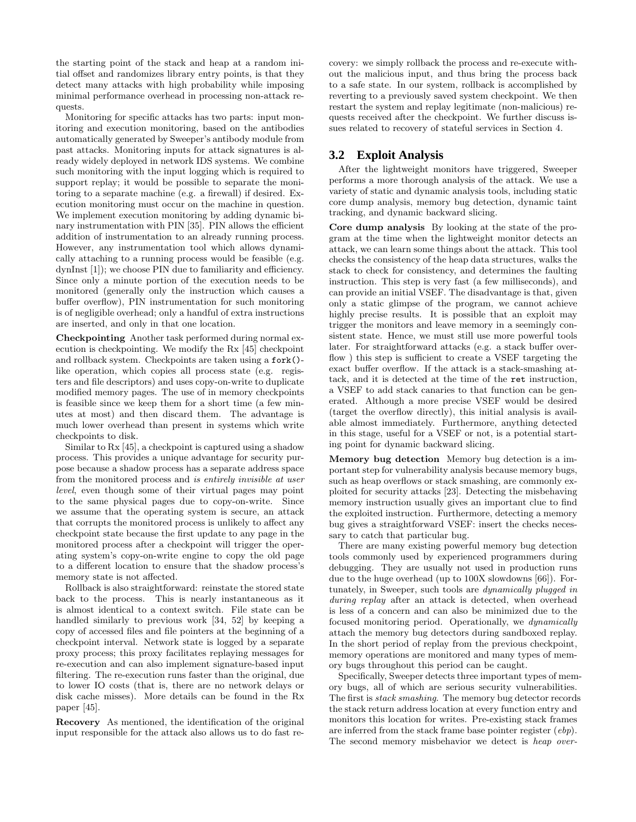the starting point of the stack and heap at a random initial offset and randomizes library entry points, is that they detect many attacks with high probability while imposing minimal performance overhead in processing non-attack requests.

Monitoring for specific attacks has two parts: input monitoring and execution monitoring, based on the antibodies automatically generated by Sweeper's antibody module from past attacks. Monitoring inputs for attack signatures is already widely deployed in network IDS systems. We combine such monitoring with the input logging which is required to support replay; it would be possible to separate the monitoring to a separate machine (e.g. a firewall) if desired. Execution monitoring must occur on the machine in question. We implement execution monitoring by adding dynamic binary instrumentation with PIN [35]. PIN allows the efficient addition of instrumentation to an already running process. However, any instrumentation tool which allows dynamically attaching to a running process would be feasible (e.g. dynInst [1]); we choose PIN due to familiarity and efficiency. Since only a minute portion of the execution needs to be monitored (generally only the instruction which causes a buffer overflow), PIN instrumentation for such monitoring is of negligible overhead; only a handful of extra instructions are inserted, and only in that one location.

Checkpointing Another task performed during normal execution is checkpointing. We modify the Rx [45] checkpoint and rollback system. Checkpoints are taken using a fork() like operation, which copies all process state (e.g. registers and file descriptors) and uses copy-on-write to duplicate modified memory pages. The use of in memory checkpoints is feasible since we keep them for a short time (a few minutes at most) and then discard them. The advantage is much lower overhead than present in systems which write checkpoints to disk.

Similar to Rx [45], a checkpoint is captured using a shadow process. This provides a unique advantage for security purpose because a shadow process has a separate address space from the monitored process and is entirely invisible at user level, even though some of their virtual pages may point to the same physical pages due to copy-on-write. Since we assume that the operating system is secure, an attack that corrupts the monitored process is unlikely to affect any checkpoint state because the first update to any page in the monitored process after a checkpoint will trigger the operating system's copy-on-write engine to copy the old page to a different location to ensure that the shadow process's memory state is not affected.

Rollback is also straightforward: reinstate the stored state back to the process. This is nearly instantaneous as it is almost identical to a context switch. File state can be handled similarly to previous work [34, 52] by keeping a copy of accessed files and file pointers at the beginning of a checkpoint interval. Network state is logged by a separate proxy process; this proxy facilitates replaying messages for re-execution and can also implement signature-based input filtering. The re-execution runs faster than the original, due to lower IO costs (that is, there are no network delays or disk cache misses). More details can be found in the Rx paper [45].

Recovery As mentioned, the identification of the original input responsible for the attack also allows us to do fast recovery: we simply rollback the process and re-execute without the malicious input, and thus bring the process back to a safe state. In our system, rollback is accomplished by reverting to a previously saved system checkpoint. We then restart the system and replay legitimate (non-malicious) requests received after the checkpoint. We further discuss issues related to recovery of stateful services in Section 4.

# **3.2 Exploit Analysis**

After the lightweight monitors have triggered, Sweeper performs a more thorough analysis of the attack. We use a variety of static and dynamic analysis tools, including static core dump analysis, memory bug detection, dynamic taint tracking, and dynamic backward slicing.

Core dump analysis By looking at the state of the program at the time when the lightweight monitor detects an attack, we can learn some things about the attack. This tool checks the consistency of the heap data structures, walks the stack to check for consistency, and determines the faulting instruction. This step is very fast (a few milliseconds), and can provide an initial VSEF. The disadvantage is that, given only a static glimpse of the program, we cannot achieve highly precise results. It is possible that an exploit may trigger the monitors and leave memory in a seemingly consistent state. Hence, we must still use more powerful tools later. For straightforward attacks (e.g. a stack buffer overflow) this step is sufficient to create a VSEF targeting the exact buffer overflow. If the attack is a stack-smashing attack, and it is detected at the time of the ret instruction, a VSEF to add stack canaries to that function can be generated. Although a more precise VSEF would be desired (target the overflow directly), this initial analysis is available almost immediately. Furthermore, anything detected in this stage, useful for a VSEF or not, is a potential starting point for dynamic backward slicing.

Memory bug detection Memory bug detection is a important step for vulnerability analysis because memory bugs, such as heap overflows or stack smashing, are commonly exploited for security attacks [23]. Detecting the misbehaving memory instruction usually gives an important clue to find the exploited instruction. Furthermore, detecting a memory bug gives a straightforward VSEF: insert the checks necessary to catch that particular bug.

There are many existing powerful memory bug detection tools commonly used by experienced programmers during debugging. They are usually not used in production runs due to the huge overhead (up to 100X slowdowns [66]). Fortunately, in Sweeper, such tools are dynamically plugged in during replay after an attack is detected, when overhead is less of a concern and can also be minimized due to the focused monitoring period. Operationally, we dynamically attach the memory bug detectors during sandboxed replay. In the short period of replay from the previous checkpoint, memory operations are monitored and many types of memory bugs throughout this period can be caught.

Specifically, Sweeper detects three important types of memory bugs, all of which are serious security vulnerabilities. The first is stack smashing. The memory bug detector records the stack return address location at every function entry and monitors this location for writes. Pre-existing stack frames are inferred from the stack frame base pointer register (ebp). The second memory misbehavior we detect is heap over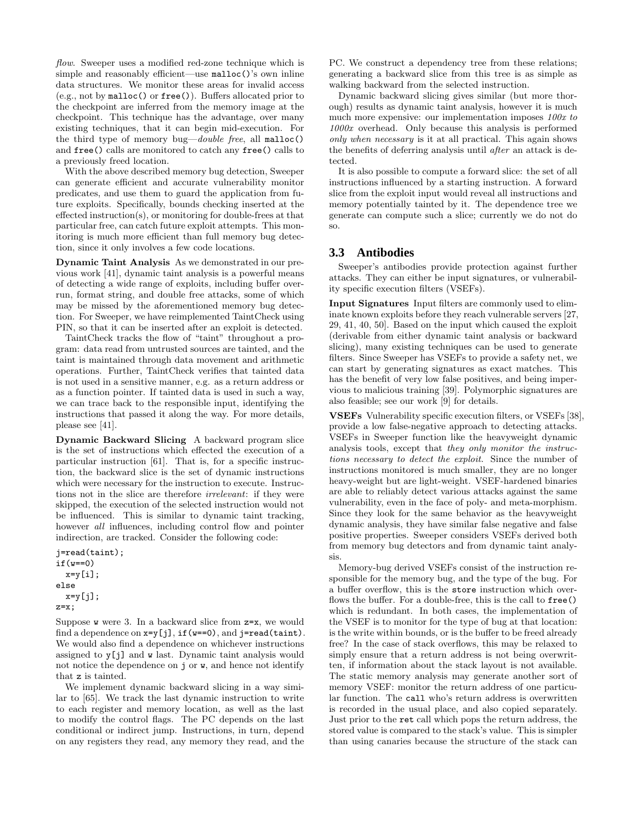flow. Sweeper uses a modified red-zone technique which is simple and reasonably efficient—use malloc()'s own inline data structures. We monitor these areas for invalid access (e.g., not by malloc() or free()). Buffers allocated prior to the checkpoint are inferred from the memory image at the checkpoint. This technique has the advantage, over many existing techniques, that it can begin mid-execution. For the third type of memory bug—double free, all malloc $()$ and free() calls are monitored to catch any free() calls to a previously freed location.

With the above described memory bug detection, Sweeper can generate efficient and accurate vulnerability monitor predicates, and use them to guard the application from future exploits. Specifically, bounds checking inserted at the effected instruction(s), or monitoring for double-frees at that particular free, can catch future exploit attempts. This monitoring is much more efficient than full memory bug detection, since it only involves a few code locations.

Dynamic Taint Analysis As we demonstrated in our previous work [41], dynamic taint analysis is a powerful means of detecting a wide range of exploits, including buffer overrun, format string, and double free attacks, some of which may be missed by the aforementioned memory bug detection. For Sweeper, we have reimplemented TaintCheck using PIN, so that it can be inserted after an exploit is detected.

TaintCheck tracks the flow of "taint" throughout a program: data read from untrusted sources are tainted, and the taint is maintained through data movement and arithmetic operations. Further, TaintCheck verifies that tainted data is not used in a sensitive manner, e.g. as a return address or as a function pointer. If tainted data is used in such a way, we can trace back to the responsible input, identifying the instructions that passed it along the way. For more details, please see [41].

Dynamic Backward Slicing A backward program slice is the set of instructions which effected the execution of a particular instruction [61]. That is, for a specific instruction, the backward slice is the set of dynamic instructions which were necessary for the instruction to execute. Instructions not in the slice are therefore irrelevant: if they were skipped, the execution of the selected instruction would not be influenced. This is similar to dynamic taint tracking, however *all* influences, including control flow and pointer indirection, are tracked. Consider the following code:

```
j=read(taint);
if(w==0)
  x=y[i];
else
  x=y[j];
z=x;
```
Suppose **w** were 3. In a backward slice from  $z=x$ , we would find a dependence on  $x=y[j]$ , if  $(w==0)$ , and  $j=read(taint)$ . We would also find a dependence on whichever instructions assigned to y[j] and w last. Dynamic taint analysis would not notice the dependence on j or w, and hence not identify that z is tainted.

We implement dynamic backward slicing in a way similar to [65]. We track the last dynamic instruction to write to each register and memory location, as well as the last to modify the control flags. The PC depends on the last conditional or indirect jump. Instructions, in turn, depend on any registers they read, any memory they read, and the PC. We construct a dependency tree from these relations; generating a backward slice from this tree is as simple as walking backward from the selected instruction.

Dynamic backward slicing gives similar (but more thorough) results as dynamic taint analysis, however it is much much more expensive: our implementation imposes  $100x$  to 1000x overhead. Only because this analysis is performed only when necessary is it at all practical. This again shows the benefits of deferring analysis until after an attack is detected.

It is also possible to compute a forward slice: the set of all instructions influenced by a starting instruction. A forward slice from the exploit input would reveal all instructions and memory potentially tainted by it. The dependence tree we generate can compute such a slice; currently we do not do so.

# **3.3 Antibodies**

Sweeper's antibodies provide protection against further attacks. They can either be input signatures, or vulnerability specific execution filters (VSEFs).

Input Signatures Input filters are commonly used to eliminate known exploits before they reach vulnerable servers [27, 29, 41, 40, 50]. Based on the input which caused the exploit (derivable from either dynamic taint analysis or backward slicing), many existing techniques can be used to generate filters. Since Sweeper has VSEFs to provide a safety net, we can start by generating signatures as exact matches. This has the benefit of very low false positives, and being impervious to malicious training [39]. Polymorphic signatures are also feasible; see our work [9] for details.

VSEFs Vulnerability specific execution filters, or VSEFs [38], provide a low false-negative approach to detecting attacks. VSEFs in Sweeper function like the heavyweight dynamic analysis tools, except that they only monitor the instructions necessary to detect the exploit. Since the number of instructions monitored is much smaller, they are no longer heavy-weight but are light-weight. VSEF-hardened binaries are able to reliably detect various attacks against the same vulnerability, even in the face of poly- and meta-morphism. Since they look for the same behavior as the heavyweight dynamic analysis, they have similar false negative and false positive properties. Sweeper considers VSEFs derived both from memory bug detectors and from dynamic taint analysis.

Memory-bug derived VSEFs consist of the instruction responsible for the memory bug, and the type of the bug. For a buffer overflow, this is the store instruction which overflows the buffer. For a double-free, this is the call to free() which is redundant. In both cases, the implementation of the VSEF is to monitor for the type of bug at that location: is the write within bounds, or is the buffer to be freed already free? In the case of stack overflows, this may be relaxed to simply ensure that a return address is not being overwritten, if information about the stack layout is not available. The static memory analysis may generate another sort of memory VSEF: monitor the return address of one particular function. The call who's return address is overwritten is recorded in the usual place, and also copied separately. Just prior to the ret call which pops the return address, the stored value is compared to the stack's value. This is simpler than using canaries because the structure of the stack can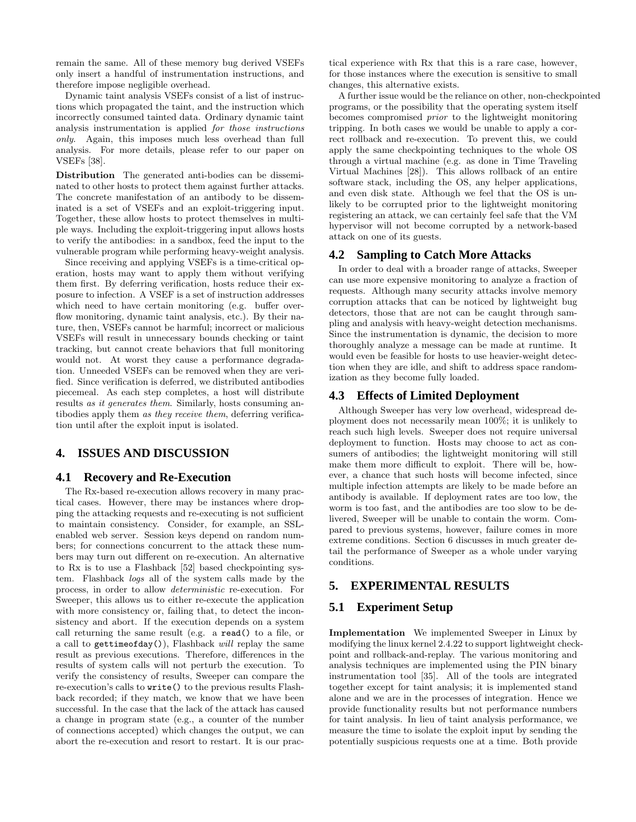remain the same. All of these memory bug derived VSEFs only insert a handful of instrumentation instructions, and therefore impose negligible overhead.

Dynamic taint analysis VSEFs consist of a list of instructions which propagated the taint, and the instruction which incorrectly consumed tainted data. Ordinary dynamic taint analysis instrumentation is applied for those instructions only. Again, this imposes much less overhead than full analysis. For more details, please refer to our paper on VSEFs [38].

Distribution The generated anti-bodies can be disseminated to other hosts to protect them against further attacks. The concrete manifestation of an antibody to be disseminated is a set of VSEFs and an exploit-triggering input. Together, these allow hosts to protect themselves in multiple ways. Including the exploit-triggering input allows hosts to verify the antibodies: in a sandbox, feed the input to the vulnerable program while performing heavy-weight analysis.

Since receiving and applying VSEFs is a time-critical operation, hosts may want to apply them without verifying them first. By deferring verification, hosts reduce their exposure to infection. A VSEF is a set of instruction addresses which need to have certain monitoring (e.g. buffer overflow monitoring, dynamic taint analysis, etc.). By their nature, then, VSEFs cannot be harmful; incorrect or malicious VSEFs will result in unnecessary bounds checking or taint tracking, but cannot create behaviors that full monitoring would not. At worst they cause a performance degradation. Unneeded VSEFs can be removed when they are verified. Since verification is deferred, we distributed antibodies piecemeal. As each step completes, a host will distribute results as it generates them. Similarly, hosts consuming antibodies apply them as they receive them, deferring verification until after the exploit input is isolated.

# **4. ISSUES AND DISCUSSION**

#### **4.1 Recovery and Re-Execution**

The Rx-based re-execution allows recovery in many practical cases. However, there may be instances where dropping the attacking requests and re-executing is not sufficient to maintain consistency. Consider, for example, an SSLenabled web server. Session keys depend on random numbers; for connections concurrent to the attack these numbers may turn out different on re-execution. An alternative to Rx is to use a Flashback [52] based checkpointing system. Flashback logs all of the system calls made by the process, in order to allow deterministic re-execution. For Sweeper, this allows us to either re-execute the application with more consistency or, failing that, to detect the inconsistency and abort. If the execution depends on a system call returning the same result (e.g. a read() to a file, or a call to  $\text{gettimeofday}()$ , Flashback will replay the same result as previous executions. Therefore, differences in the results of system calls will not perturb the execution. To verify the consistency of results, Sweeper can compare the re-execution's calls to write() to the previous results Flashback recorded; if they match, we know that we have been successful. In the case that the lack of the attack has caused a change in program state (e.g., a counter of the number of connections accepted) which changes the output, we can abort the re-execution and resort to restart. It is our practical experience with Rx that this is a rare case, however, for those instances where the execution is sensitive to small changes, this alternative exists.

A further issue would be the reliance on other, non-checkpointed programs, or the possibility that the operating system itself becomes compromised prior to the lightweight monitoring tripping. In both cases we would be unable to apply a correct rollback and re-execution. To prevent this, we could apply the same checkpointing techniques to the whole OS through a virtual machine (e.g. as done in Time Traveling Virtual Machines [28]). This allows rollback of an entire software stack, including the OS, any helper applications, and even disk state. Although we feel that the OS is unlikely to be corrupted prior to the lightweight monitoring registering an attack, we can certainly feel safe that the VM hypervisor will not become corrupted by a network-based attack on one of its guests.

### **4.2 Sampling to Catch More Attacks**

In order to deal with a broader range of attacks, Sweeper can use more expensive monitoring to analyze a fraction of requests. Although many security attacks involve memory corruption attacks that can be noticed by lightweight bug detectors, those that are not can be caught through sampling and analysis with heavy-weight detection mechanisms. Since the instrumentation is dynamic, the decision to more thoroughly analyze a message can be made at runtime. It would even be feasible for hosts to use heavier-weight detection when they are idle, and shift to address space randomization as they become fully loaded.

#### **4.3 Effects of Limited Deployment**

Although Sweeper has very low overhead, widespread deployment does not necessarily mean 100%; it is unlikely to reach such high levels. Sweeper does not require universal deployment to function. Hosts may choose to act as consumers of antibodies; the lightweight monitoring will still make them more difficult to exploit. There will be, however, a chance that such hosts will become infected, since multiple infection attempts are likely to be made before an antibody is available. If deployment rates are too low, the worm is too fast, and the antibodies are too slow to be delivered, Sweeper will be unable to contain the worm. Compared to previous systems, however, failure comes in more extreme conditions. Section 6 discusses in much greater detail the performance of Sweeper as a whole under varying conditions.

### **5. EXPERIMENTAL RESULTS**

### **5.1 Experiment Setup**

Implementation We implemented Sweeper in Linux by modifying the linux kernel 2.4.22 to support lightweight checkpoint and rollback-and-replay. The various monitoring and analysis techniques are implemented using the PIN binary instrumentation tool [35]. All of the tools are integrated together except for taint analysis; it is implemented stand alone and we are in the processes of integration. Hence we provide functionality results but not performance numbers for taint analysis. In lieu of taint analysis performance, we measure the time to isolate the exploit input by sending the potentially suspicious requests one at a time. Both provide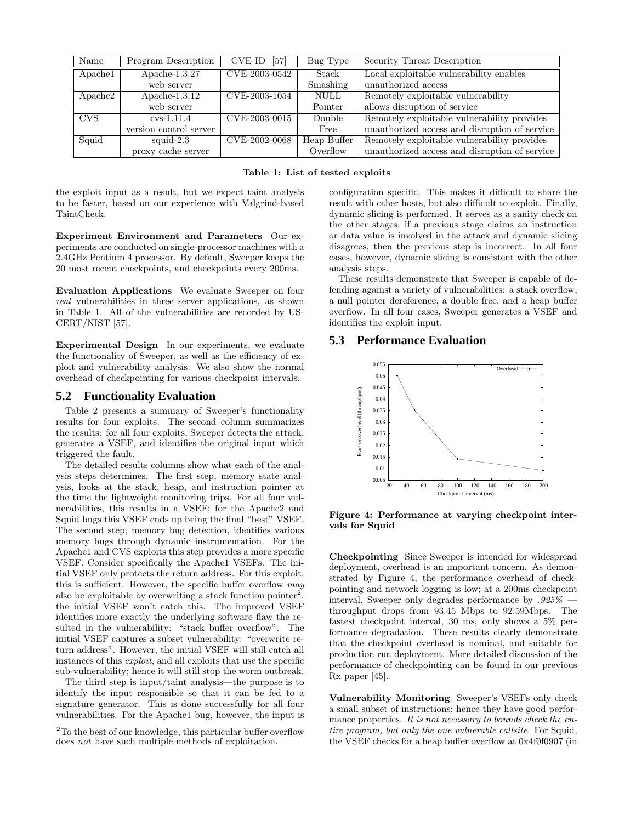| Name       | Program Description    | [57]<br>CVE ID | Bug Type    | Security Threat Description                   |  |
|------------|------------------------|----------------|-------------|-----------------------------------------------|--|
| Apache1    | Apache- $1.3.27$       | CVE-2003-0542  | Stack       | Local exploitable vulnerability enables       |  |
|            | web server             |                | Smashing    | unauthorized access                           |  |
| Apache2    | Apache- $1.3.12$       | CVE-2003-1054  | <b>NULL</b> | Remotely exploitable vulnerability            |  |
|            | web server             |                | Pointer     | allows disruption of service                  |  |
| <b>CVS</b> | $\cos -1.11.4$         | CVE-2003-0015  | Double      | Remotely exploitable vulnerability provides   |  |
|            | version control server |                | Free        | unauthorized access and disruption of service |  |
| Squid      | squid- $2.3$           | CVE-2002-0068  | Heap Buffer | Remotely exploitable vulnerability provides   |  |
|            | proxy cache server     |                | Overflow    | unauthorized access and disruption of service |  |

|  |  |  |  |  | Table 1: List of tested exploits |
|--|--|--|--|--|----------------------------------|
|--|--|--|--|--|----------------------------------|

the exploit input as a result, but we expect taint analysis to be faster, based on our experience with Valgrind-based TaintCheck.

Experiment Environment and Parameters Our experiments are conducted on single-processor machines with a 2.4GHz Pentium 4 processor. By default, Sweeper keeps the 20 most recent checkpoints, and checkpoints every 200ms.

Evaluation Applications We evaluate Sweeper on four real vulnerabilities in three server applications, as shown in Table 1. All of the vulnerabilities are recorded by US-CERT/NIST [57].

Experimental Design In our experiments, we evaluate the functionality of Sweeper, as well as the efficiency of exploit and vulnerability analysis. We also show the normal overhead of checkpointing for various checkpoint intervals.

# **5.2 Functionality Evaluation**

Table 2 presents a summary of Sweeper's functionality results for four exploits. The second column summarizes the results: for all four exploits, Sweeper detects the attack, generates a VSEF, and identifies the original input which triggered the fault.

The detailed results columns show what each of the analysis steps determines. The first step, memory state analysis, looks at the stack, heap, and instruction pointer at the time the lightweight monitoring trips. For all four vulnerabilities, this results in a VSEF; for the Apache2 and Squid bugs this VSEF ends up being the final "best" VSEF. The second step, memory bug detection, identifies various memory bugs through dynamic instrumentation. For the Apache1 and CVS exploits this step provides a more specific VSEF. Consider specifically the Apache1 VSEFs. The initial VSEF only protects the return address. For this exploit, this is sufficient. However, the specific buffer overflow may also be exploitable by overwriting a stack function pointer<sup>2</sup>; the initial VSEF won't catch this. The improved VSEF identifies more exactly the underlying software flaw the resulted in the vulnerability: "stack buffer overflow". The initial VSEF captures a subset vulnerability: "overwrite return address". However, the initial VSEF will still catch all instances of this exploit, and all exploits that use the specific sub-vulnerability; hence it will still stop the worm outbreak.

The third step is input/taint analysis—the purpose is to identify the input responsible so that it can be fed to a signature generator. This is done successfully for all four vulnerabilities. For the Apache1 bug, however, the input is

configuration specific. This makes it difficult to share the result with other hosts, but also difficult to exploit. Finally, dynamic slicing is performed. It serves as a sanity check on the other stages; if a previous stage claims an instruction or data value is involved in the attack and dynamic slicing disagrees, then the previous step is incorrect. In all four cases, however, dynamic slicing is consistent with the other analysis steps.

These results demonstrate that Sweeper is capable of defending against a variety of vulnerabilities: a stack overflow, a null pointer dereference, a double free, and a heap buffer overflow. In all four cases, Sweeper generates a VSEF and identifies the exploit input.

# **5.3 Performance Evaluation**



Figure 4: Performance at varying checkpoint intervals for Squid

Checkpointing Since Sweeper is intended for widespread deployment, overhead is an important concern. As demonstrated by Figure 4, the performance overhead of checkpointing and network logging is low; at a 200ms checkpoint interval, Sweeper only degrades performance by .925% throughput drops from 93.45 Mbps to 92.59Mbps. The fastest checkpoint interval, 30 ms, only shows a 5% performance degradation. These results clearly demonstrate that the checkpoint overhead is nominal, and suitable for production run deployment. More detailed discussion of the performance of checkpointing can be found in our previous Rx paper [45].

Vulnerability Monitoring Sweeper's VSEFs only check a small subset of instructions; hence they have good performance properties. It is not necessary to bounds check the entire program, but only the one vulnerable callsite. For Squid, the VSEF checks for a heap buffer overflow at 0x4f0f0907 (in

<sup>2</sup>To the best of our knowledge, this particular buffer overflow does not have such multiple methods of exploitation.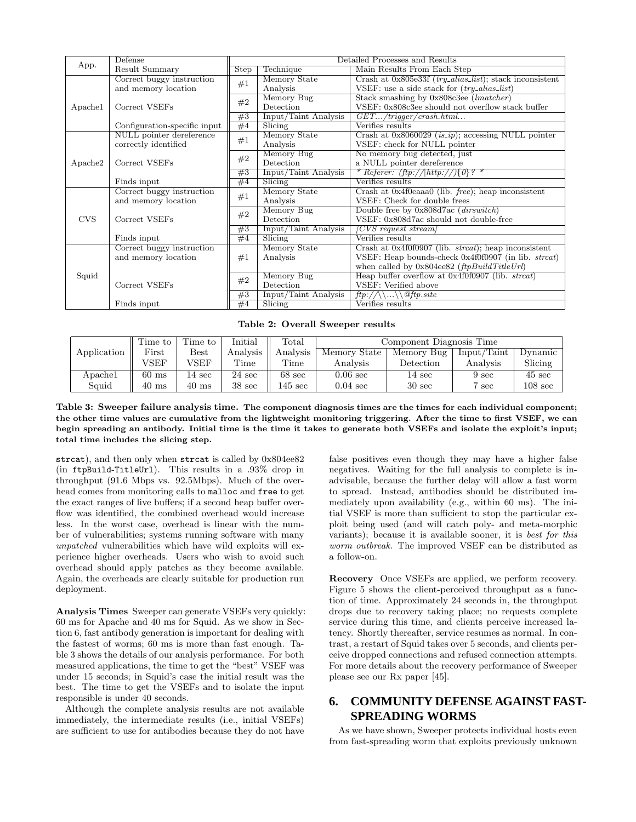| App.       | Defense                      | Detailed Processes and Results |                                                                      |                                                                  |  |
|------------|------------------------------|--------------------------------|----------------------------------------------------------------------|------------------------------------------------------------------|--|
|            | Result Summary               | <b>Step</b>                    | Technique                                                            | Main Results From Each Step                                      |  |
|            | Correct buggy instruction    | #1                             | Memory State                                                         | Crash at 0x805e33f ( <i>try_alias_list</i> ); stack inconsistent |  |
| Apache1    | and memory location          |                                | Analysis                                                             | VSEF: use a side stack for (try_alias_list)                      |  |
|            |                              | $\#2$                          | Memory Bug                                                           | Stack smashing by 0x808c3ee ( <i>lmatcher</i> )                  |  |
|            | Correct VSEFs                |                                | Detection                                                            | VSEF: 0x808c3ee should not overflow stack buffer                 |  |
|            |                              | #3                             | Input/Taint Analysis<br>GET/trigger/crash.html                       |                                                                  |  |
|            | Configuration-specific input | #4                             | Slicing                                                              | Verifies results                                                 |  |
|            | NULL pointer dereference     | #1                             | Memory State                                                         | Crash at $0x8060029$ (is_ip); accessing NULL pointer             |  |
|            | correctly identified         |                                | Analysis                                                             | VSEF: check for NULL pointer                                     |  |
| Apache2    | Correct VSEFs                | #2                             | Memory Bug                                                           | No memory bug detected, just                                     |  |
|            |                              |                                | Detection                                                            | a NULL pointer dereference                                       |  |
|            |                              | #3                             | * Referer: $(ftp://http://]{http://}{\}$ ? *<br>Input/Taint Analysis |                                                                  |  |
|            | Finds input                  | #4                             | Slicing                                                              | Verifies results                                                 |  |
|            | Correct buggy instruction    | #1                             | Memory State                                                         | Crash at $0x4f0ea$ aa $0$ (lib. <i>free</i> ); heap inconsistent |  |
|            | and memory location          |                                | Analysis                                                             | VSEF: Check for double frees                                     |  |
|            | Correct VSEFs                | #2                             | Memory Bug                                                           | Double free by 0x808d7ac ( <i>dirswitch</i> )                    |  |
| <b>CVS</b> |                              |                                | Detection                                                            | VSEF: 0x808d7ac should not double-free                           |  |
|            |                              | #3                             | Input/Taint Analysis                                                 | CVS request stream                                               |  |
|            | Finds input                  | #4                             | Slicing                                                              | Verifies results                                                 |  |
|            | Correct buggy instruction    |                                | Memory State                                                         | Crash at 0x4f0f0907 (lib. streat); heap inconsistent             |  |
| Squid      | and memory location          | #1                             | Analysis                                                             | VSEF: Heap bounds-check 0x4f0f0907 (in lib. strcat)              |  |
|            |                              |                                |                                                                      | when called by $0x804ee82$ ( <i>ftpBuildTitleUrl</i> )           |  |
|            |                              | #2                             | Memory Bug                                                           | Heap buffer overflow at 0x4f0f0907 (lib. streat)                 |  |
|            | Correct VSEFs                |                                | Detection                                                            | VSEF: Verified above                                             |  |
|            |                              | #3                             | Input/Taint Analysis                                                 | $ftp://\\\\@ftp.size$                                            |  |
|            | Finds input                  | #4                             | Slicing                                                              | Verifies results                                                 |  |

|  |  | Table 2: Overall Sweeper results |  |
|--|--|----------------------------------|--|
|--|--|----------------------------------|--|

|             | Time to         | Time to          | Initial          | $\text{Total}$   | Component Diagnosis Time |                  |             |                   |
|-------------|-----------------|------------------|------------------|------------------|--------------------------|------------------|-------------|-------------------|
| Application | First           | Best             | Analysis         | Analysis         | Memory State             | Memory Bug       | Input/Taint | Dvnamic           |
|             | VSEF            | VSEF             | Time             | Time             | Analysis                 | Detection        | Analysis    | Slicing           |
| Apache1     | $60 \text{ ms}$ | 14 sec           | $24 \text{ sec}$ | $68 \text{ sec}$ | $0.06 \text{ sec}$       | $14 \text{ sec}$ | 9 sec       | $45 \text{ sec}$  |
| Sauid       | $40 \text{ ms}$ | $40~\mathrm{ms}$ | $38 \text{ sec}$ | 145 sec          | $0.04 \text{ sec}$       | $30 \text{ sec}$ | 7 sec       | $108 \text{ sec}$ |

Table 3: Sweeper failure analysis time. The component diagnosis times are the times for each individual component; the other time values are cumulative from the lightweight monitoring triggering. After the time to first VSEF, we can begin spreading an antibody. Initial time is the time it takes to generate both VSEFs and isolate the exploit's input; total time includes the slicing step.

strcat), and then only when strcat is called by  $0x804ee82$ (in ftpBuild-TitleUrl). This results in a .93% drop in throughput (91.6 Mbps vs. 92.5Mbps). Much of the overhead comes from monitoring calls to malloc and free to get the exact ranges of live buffers; if a second heap buffer overflow was identified, the combined overhead would increase less. In the worst case, overhead is linear with the number of vulnerabilities; systems running software with many unpatched vulnerabilities which have wild exploits will experience higher overheads. Users who wish to avoid such overhead should apply patches as they become available. Again, the overheads are clearly suitable for production run deployment.

Analysis Times Sweeper can generate VSEFs very quickly: 60 ms for Apache and 40 ms for Squid. As we show in Section 6, fast antibody generation is important for dealing with the fastest of worms; 60 ms is more than fast enough. Table 3 shows the details of our analysis performance. For both measured applications, the time to get the "best" VSEF was under 15 seconds; in Squid's case the initial result was the best. The time to get the VSEFs and to isolate the input responsible is under 40 seconds.

Although the complete analysis results are not available immediately, the intermediate results (i.e., initial VSEFs) are sufficient to use for antibodies because they do not have

false positives even though they may have a higher false negatives. Waiting for the full analysis to complete is inadvisable, because the further delay will allow a fast worm to spread. Instead, antibodies should be distributed immediately upon availability (e.g., within 60 ms). The initial VSEF is more than sufficient to stop the particular exploit being used (and will catch poly- and meta-morphic variants); because it is available sooner, it is best for this worm outbreak. The improved VSEF can be distributed as a follow-on.

Recovery Once VSEFs are applied, we perform recovery. Figure 5 shows the client-perceived throughput as a function of time. Approximately 24 seconds in, the throughput drops due to recovery taking place; no requests complete service during this time, and clients perceive increased latency. Shortly thereafter, service resumes as normal. In contrast, a restart of Squid takes over 5 seconds, and clients perceive dropped connections and refused connection attempts. For more details about the recovery performance of Sweeper please see our Rx paper [45].

# **6. COMMUNITY DEFENSE AGAINST FAST-SPREADING WORMS**

As we have shown, Sweeper protects individual hosts even from fast-spreading worm that exploits previously unknown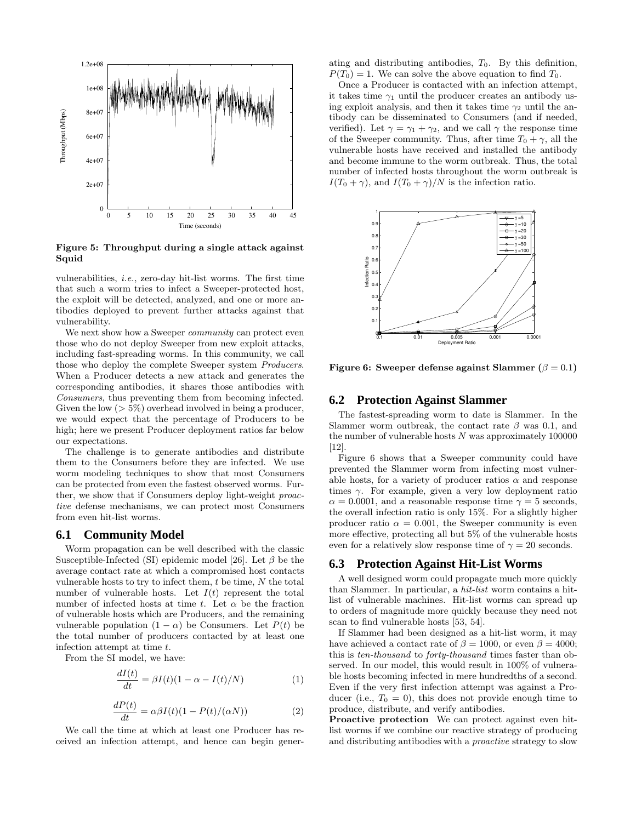

Figure 5: Throughput during a single attack against Squid

vulnerabilities, i.e., zero-day hit-list worms. The first time that such a worm tries to infect a Sweeper-protected host, the exploit will be detected, analyzed, and one or more antibodies deployed to prevent further attacks against that vulnerability.

We next show how a Sweeper *community* can protect even those who do not deploy Sweeper from new exploit attacks, including fast-spreading worms. In this community, we call those who deploy the complete Sweeper system Producers. When a Producer detects a new attack and generates the corresponding antibodies, it shares those antibodies with Consumers, thus preventing them from becoming infected. Given the low  $(5\%)$  overhead involved in being a producer, we would expect that the percentage of Producers to be high; here we present Producer deployment ratios far below our expectations.

The challenge is to generate antibodies and distribute them to the Consumers before they are infected. We use worm modeling techniques to show that most Consumers can be protected from even the fastest observed worms. Further, we show that if Consumers deploy light-weight proactive defense mechanisms, we can protect most Consumers from even hit-list worms.

#### **6.1 Community Model**

Worm propagation can be well described with the classic Susceptible-Infected (SI) epidemic model [26]. Let  $\beta$  be the average contact rate at which a compromised host contacts vulnerable hosts to try to infect them,  $t$  be time,  $N$  the total number of vulnerable hosts. Let  $I(t)$  represent the total number of infected hosts at time t. Let  $\alpha$  be the fraction of vulnerable hosts which are Producers, and the remaining vulnerable population  $(1 - \alpha)$  be Consumers. Let  $P(t)$  be the total number of producers contacted by at least one infection attempt at time t.

From the SI model, we have:

$$
\frac{dI(t)}{dt} = \beta I(t)(1 - \alpha - I(t)/N) \tag{1}
$$

$$
\frac{dP(t)}{dt} = \alpha \beta I(t)(1 - P(t)/(\alpha N))
$$
\n(2)

We call the time at which at least one Producer has received an infection attempt, and hence can begin generating and distributing antibodies,  $T_0$ . By this definition,  $P(T_0) = 1$ . We can solve the above equation to find  $T_0$ .

Once a Producer is contacted with an infection attempt, it takes time  $\gamma_1$  until the producer creates an antibody using exploit analysis, and then it takes time  $\gamma_2$  until the antibody can be disseminated to Consumers (and if needed, verified). Let  $\gamma = \gamma_1 + \gamma_2$ , and we call  $\gamma$  the response time of the Sweeper community. Thus, after time  $T_0 + \gamma$ , all the vulnerable hosts have received and installed the antibody and become immune to the worm outbreak. Thus, the total number of infected hosts throughout the worm outbreak is  $I(T_0 + \gamma)$ , and  $I(T_0 + \gamma)/N$  is the infection ratio.



Figure 6: Sweeper defense against Slammer ( $\beta = 0.1$ )

#### **6.2 Protection Against Slammer**

The fastest-spreading worm to date is Slammer. In the Slammer worm outbreak, the contact rate  $\beta$  was 0.1, and the number of vulnerable hosts  $N$  was approximately  $100000\,$  $[12]$ 

Figure 6 shows that a Sweeper community could have prevented the Slammer worm from infecting most vulnerable hosts, for a variety of producer ratios  $\alpha$  and response times  $\gamma$ . For example, given a very low deployment ratio  $\alpha = 0.0001$ , and a reasonable response time  $\gamma = 5$  seconds, the overall infection ratio is only 15%. For a slightly higher producer ratio  $\alpha = 0.001$ , the Sweeper community is even more effective, protecting all but 5% of the vulnerable hosts even for a relatively slow response time of  $\gamma = 20$  seconds.

# **6.3 Protection Against Hit-List Worms**

A well designed worm could propagate much more quickly than Slammer. In particular, a hit-list worm contains a hitlist of vulnerable machines. Hit-list worms can spread up to orders of magnitude more quickly because they need not scan to find vulnerable hosts [53, 54].

If Slammer had been designed as a hit-list worm, it may have achieved a contact rate of  $\beta = 1000$ , or even  $\beta = 4000$ ; this is ten-thousand to forty-thousand times faster than observed. In our model, this would result in 100% of vulnerable hosts becoming infected in mere hundredths of a second. Even if the very first infection attempt was against a Producer (i.e.,  $T_0 = 0$ ), this does not provide enough time to produce, distribute, and verify antibodies.

Proactive protection We can protect against even hitlist worms if we combine our reactive strategy of producing and distributing antibodies with a proactive strategy to slow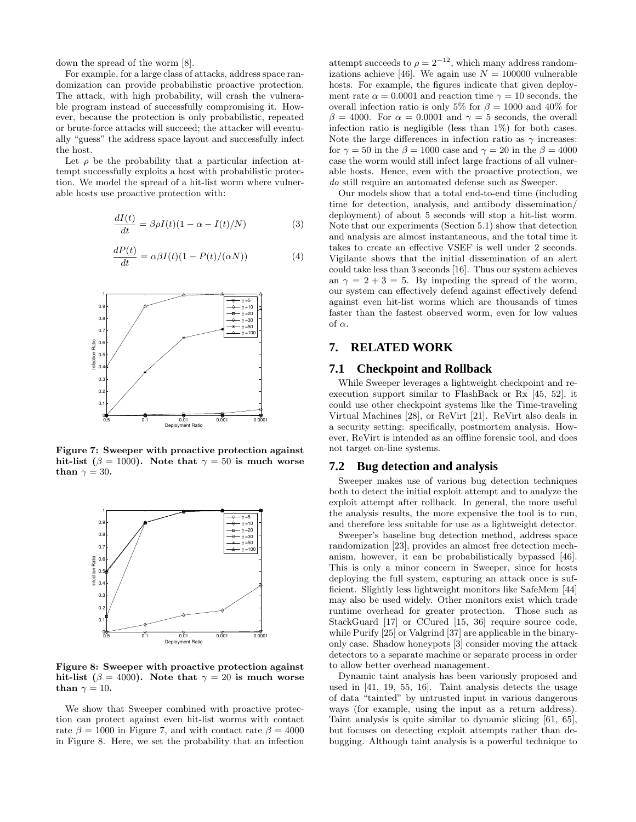down the spread of the worm [8].

For example, for a large class of attacks, address space randomization can provide probabilistic proactive protection. The attack, with high probability, will crash the vulnerable program instead of successfully compromising it. However, because the protection is only probabilistic, repeated or brute-force attacks will succeed; the attacker will eventually "guess" the address space layout and successfully infect the host.

Let  $\rho$  be the probability that a particular infection attempt successfully exploits a host with probabilistic protection. We model the spread of a hit-list worm where vulnerable hosts use proactive protection with:

$$
\frac{dI(t)}{dt} = \beta \rho I(t)(1 - \alpha - I(t)/N)
$$
\n(3)

$$
\frac{dP(t)}{dt} = \alpha \beta I(t)(1 - P(t)/(\alpha N))\tag{4}
$$



Figure 7: Sweeper with proactive protection against hit-list ( $\beta = 1000$ ). Note that  $\gamma = 50$  is much worse than  $\gamma = 30$ .



Figure 8: Sweeper with proactive protection against hit-list ( $\beta = 4000$ ). Note that  $\gamma = 20$  is much worse than  $\gamma = 10$ .

We show that Sweeper combined with proactive protection can protect against even hit-list worms with contact rate  $\beta = 1000$  in Figure 7, and with contact rate  $\beta = 4000$ in Figure 8. Here, we set the probability that an infection

attempt succeeds to  $\rho = 2^{-12}$ , which many address randomizations achieve [46]. We again use  $N = 100000$  vulnerable hosts. For example, the figures indicate that given deployment rate  $\alpha = 0.0001$  and reaction time  $\gamma = 10$  seconds, the overall infection ratio is only 5% for  $\beta = 1000$  and 40% for  $\beta = 4000$ . For  $\alpha = 0.0001$  and  $\gamma = 5$  seconds, the overall infection ratio is negligible (less than  $1\%$ ) for both cases. Note the large differences in infection ratio as  $\gamma$  increases: for  $\gamma = 50$  in the  $\beta = 1000$  case and  $\gamma = 20$  in the  $\beta = 4000$ case the worm would still infect large fractions of all vulnerable hosts. Hence, even with the proactive protection, we do still require an automated defense such as Sweeper.

Our models show that a total end-to-end time (including time for detection, analysis, and antibody dissemination/ deployment) of about 5 seconds will stop a hit-list worm. Note that our experiments (Section 5.1) show that detection and analysis are almost instantaneous, and the total time it takes to create an effective VSEF is well under 2 seconds. Vigilante shows that the initial dissemination of an alert could take less than 3 seconds [16]. Thus our system achieves an  $\gamma = 2 + 3 = 5$ . By impeding the spread of the worm, our system can effectively defend against effectively defend against even hit-list worms which are thousands of times faster than the fastest observed worm, even for low values of  $\alpha$ .

# **7. RELATED WORK**

#### **7.1 Checkpoint and Rollback**

While Sweeper leverages a lightweight checkpoint and reexecution support similar to FlashBack or Rx [45, 52], it could use other checkpoint systems like the Time-traveling Virtual Machines [28], or ReVirt [21]. ReVirt also deals in a security setting: specifically, postmortem analysis. However, ReVirt is intended as an offline forensic tool, and does not target on-line systems.

#### **7.2 Bug detection and analysis**

Sweeper makes use of various bug detection techniques both to detect the initial exploit attempt and to analyze the exploit attempt after rollback. In general, the more useful the analysis results, the more expensive the tool is to run, and therefore less suitable for use as a lightweight detector.

Sweeper's baseline bug detection method, address space randomization [23], provides an almost free detection mechanism, however, it can be probabilistically bypassed [46]. This is only a minor concern in Sweeper, since for hosts deploying the full system, capturing an attack once is sufficient. Slightly less lightweight monitors like SafeMem [44] may also be used widely. Other monitors exist which trade runtime overhead for greater protection. Those such as StackGuard [17] or CCured [15, 36] require source code, while Purify [25] or Valgrind [37] are applicable in the binaryonly case. Shadow honeypots [3] consider moving the attack detectors to a separate machine or separate process in order to allow better overhead management.

Dynamic taint analysis has been variously proposed and used in [41, 19, 55, 16]. Taint analysis detects the usage of data "tainted" by untrusted input in various dangerous ways (for example, using the input as a return address). Taint analysis is quite similar to dynamic slicing [61, 65], but focuses on detecting exploit attempts rather than debugging. Although taint analysis is a powerful technique to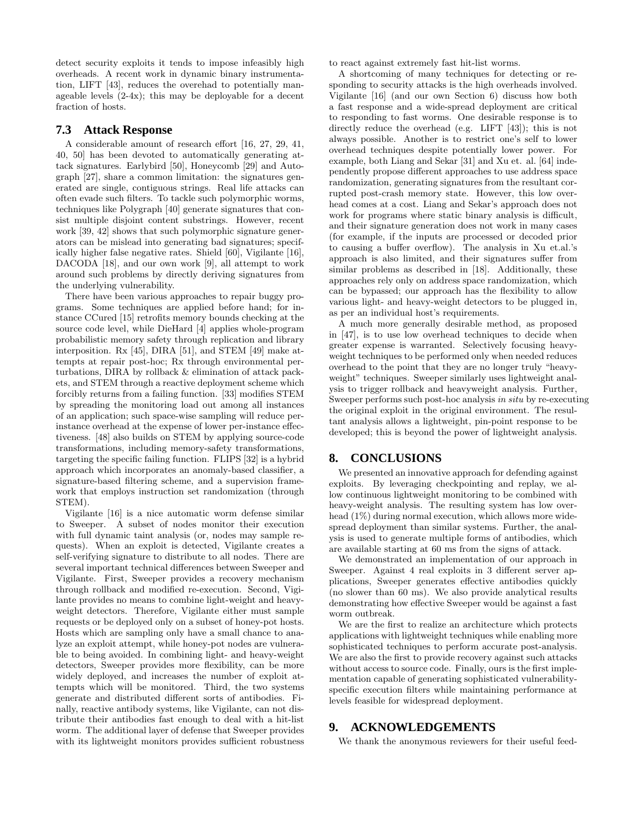detect security exploits it tends to impose infeasibly high overheads. A recent work in dynamic binary instrumentation, LIFT [43], reduces the overehad to potentially manageable levels (2-4x); this may be deployable for a decent fraction of hosts.

### **7.3 Attack Response**

A considerable amount of research effort [16, 27, 29, 41, 40, 50] has been devoted to automatically generating attack signatures. Earlybird [50], Honeycomb [29] and Autograph [27], share a common limitation: the signatures generated are single, contiguous strings. Real life attacks can often evade such filters. To tackle such polymorphic worms, techniques like Polygraph [40] generate signatures that consist multiple disjoint content substrings. However, recent work [39, 42] shows that such polymorphic signature generators can be mislead into generating bad signatures; specifically higher false negative rates. Shield [60], Vigilante [16], DACODA [18], and our own work [9], all attempt to work around such problems by directly deriving signatures from the underlying vulnerability.

There have been various approaches to repair buggy programs. Some techniques are applied before hand; for instance CCured [15] retrofits memory bounds checking at the source code level, while DieHard [4] applies whole-program probabilistic memory safety through replication and library interposition. Rx [45], DIRA [51], and STEM [49] make attempts at repair post-hoc; Rx through environmental perturbations, DIRA by rollback & elimination of attack packets, and STEM through a reactive deployment scheme which forcibly returns from a failing function. [33] modifies STEM by spreading the monitoring load out among all instances of an application; such space-wise sampling will reduce perinstance overhead at the expense of lower per-instance effectiveness. [48] also builds on STEM by applying source-code transformations, including memory-safety transformations, targeting the specific failing function. FLIPS [32] is a hybrid approach which incorporates an anomaly-based classifier, a signature-based filtering scheme, and a supervision framework that employs instruction set randomization (through STEM).

Vigilante [16] is a nice automatic worm defense similar to Sweeper. A subset of nodes monitor their execution with full dynamic taint analysis (or, nodes may sample requests). When an exploit is detected, Vigilante creates a self-verifying signature to distribute to all nodes. There are several important technical differences between Sweeper and Vigilante. First, Sweeper provides a recovery mechanism through rollback and modified re-execution. Second, Vigilante provides no means to combine light-weight and heavyweight detectors. Therefore, Vigilante either must sample requests or be deployed only on a subset of honey-pot hosts. Hosts which are sampling only have a small chance to analyze an exploit attempt, while honey-pot nodes are vulnerable to being avoided. In combining light- and heavy-weight detectors, Sweeper provides more flexibility, can be more widely deployed, and increases the number of exploit attempts which will be monitored. Third, the two systems generate and distributed different sorts of antibodies. Finally, reactive antibody systems, like Vigilante, can not distribute their antibodies fast enough to deal with a hit-list worm. The additional layer of defense that Sweeper provides with its lightweight monitors provides sufficient robustness

to react against extremely fast hit-list worms.

A shortcoming of many techniques for detecting or responding to security attacks is the high overheads involved. Vigilante [16] (and our own Section 6) discuss how both a fast response and a wide-spread deployment are critical to responding to fast worms. One desirable response is to directly reduce the overhead (e.g. LIFT [43]); this is not always possible. Another is to restrict one's self to lower overhead techniques despite potentially lower power. For example, both Liang and Sekar [31] and Xu et. al. [64] independently propose different approaches to use address space randomization, generating signatures from the resultant corrupted post-crash memory state. However, this low overhead comes at a cost. Liang and Sekar's approach does not work for programs where static binary analysis is difficult, and their signature generation does not work in many cases (for example, if the inputs are processed or decoded prior to causing a buffer overflow). The analysis in Xu et.al.'s approach is also limited, and their signatures suffer from similar problems as described in [18]. Additionally, these approaches rely only on address space randomization, which can be bypassed; our approach has the flexibility to allow various light- and heavy-weight detectors to be plugged in, as per an individual host's requirements.

A much more generally desirable method, as proposed in [47], is to use low overhead techniques to decide when greater expense is warranted. Selectively focusing heavyweight techniques to be performed only when needed reduces overhead to the point that they are no longer truly "heavyweight" techniques. Sweeper similarly uses lightweight analysis to trigger rollback and heavyweight analysis. Further, Sweeper performs such post-hoc analysis in situ by re-executing the original exploit in the original environment. The resultant analysis allows a lightweight, pin-point response to be developed; this is beyond the power of lightweight analysis.

## **8. CONCLUSIONS**

We presented an innovative approach for defending against exploits. By leveraging checkpointing and replay, we allow continuous lightweight monitoring to be combined with heavy-weight analysis. The resulting system has low overhead  $(1\%)$  during normal execution, which allows more widespread deployment than similar systems. Further, the analysis is used to generate multiple forms of antibodies, which are available starting at 60 ms from the signs of attack.

We demonstrated an implementation of our approach in Sweeper. Against 4 real exploits in 3 different server applications, Sweeper generates effective antibodies quickly (no slower than 60 ms). We also provide analytical results demonstrating how effective Sweeper would be against a fast worm outbreak.

We are the first to realize an architecture which protects applications with lightweight techniques while enabling more sophisticated techniques to perform accurate post-analysis. We are also the first to provide recovery against such attacks without access to source code. Finally, ours is the first implementation capable of generating sophisticated vulnerabilityspecific execution filters while maintaining performance at levels feasible for widespread deployment.

# **9. ACKNOWLEDGEMENTS**

We thank the anonymous reviewers for their useful feed-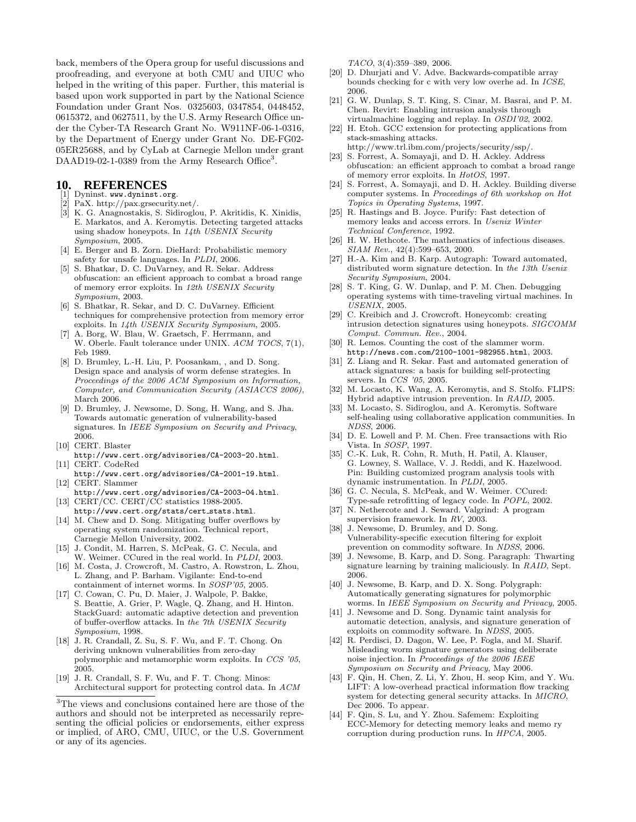back, members of the Opera group for useful discussions and proofreading, and everyone at both CMU and UIUC who helped in the writing of this paper. Further, this material is based upon work supported in part by the National Science Foundation under Grant Nos. 0325603, 0347854, 0448452, 0615372, and 0627511, by the U.S. Army Research Office under the Cyber-TA Research Grant No. W911NF-06-1-0316, by the Department of Energy under Grant No. DE-FG02- 05ER25688, and by CyLab at Carnegie Mellon under grant DAAD19-02-1-0389 from the Army Research Office<sup>3</sup>.

# **10. REFERENCES**

- [1] Dyninst. www.dyninst.org.
- [2] PaX. http://pax.grsecurity.net/.
- [3] K. G. Anagnostakis, S. Sidiroglou, P. Akritidis, K. Xinidis, E. Markatos, and A. Keromytis. Detecting targeted attacks using shadow honeypots. In 14th USENIX Security Symposium, 2005.
- [4] E. Berger and B. Zorn. DieHard: Probabilistic memory safety for unsafe languages. In PLDI, 2006.
- [5] S. Bhatkar, D. C. DuVarney, and R. Sekar. Address obfuscation: an efficient approach to combat a broad range of memory error exploits. In 12th USENIX Security Symposium, 2003.
- [6] S. Bhatkar, R. Sekar, and D. C. DuVarney. Efficient techniques for comprehensive protection from memory error exploits. In 14th USENIX Security Symposium, 2005.
- [7] A. Borg, W. Blau, W. Graetsch, F. Herrmann, and W. Oberle. Fault tolerance under UNIX. ACM TOCS, 7(1), Feb 1989.
- [8] D. Brumley, L.-H. Liu, P. Poosankam, , and D. Song. Design space and analysis of worm defense strategies. In Proceedings of the 2006 ACM Symposium on Information, Computer, and Communication Security (ASIACCS 2006), March 2006.
- [9] D. Brumley, J. Newsome, D. Song, H. Wang, and S. Jha. Towards automatic generation of vulnerability-based signatures. In IEEE Symposium on Security and Privacy, 2006.
- [10] CERT. Blaster
- http://www.cert.org/advisories/CA-2003-20.html. [11] CERT. CodeRed
- http://www.cert.org/advisories/CA-2001-19.html. [12] CERT. Slammer
- http://www.cert.org/advisories/CA-2003-04.html. [13] CERT/CC. CERT/CC statistics 1988-2005.
- http://www.cert.org/stats/cert\_stats.html.
- [14] M. Chew and D. Song. Mitigating buffer overflows by operating system randomization. Technical report, Carnegie Mellon University, 2002.
- [15] J. Condit, M. Harren, S. McPeak, G. C. Necula, and W. Weimer. CCured in the real world. In PLDI, 2003.
- [16] M. Costa, J. Crowcroft, M. Castro, A. Rowstron, L. Zhou, L. Zhang, and P. Barham. Vigilante: End-to-end containment of internet worms. In SOSP'05, 2005.
- [17] C. Cowan, C. Pu, D. Maier, J. Walpole, P. Bakke, S. Beattie, A. Grier, P. Wagle, Q. Zhang, and H. Hinton. StackGuard: automatic adaptive detection and prevention of buffer-overflow attacks. In the 7th USENIX Security Symposium, 1998.
- [18] J. R. Crandall, Z. Su, S. F. Wu, and F. T. Chong. On deriving unknown vulnerabilities from zero-day polymorphic and metamorphic worm exploits. In CCS '05, 2005.
- [19] J. R. Crandall, S. F. Wu, and F. T. Chong. Minos: Architectural support for protecting control data. In ACM

TACO, 3(4):359–389, 2006.

- [20] D. Dhurjati and V. Adve. Backwards-compatible array bounds checking for c with very low overhe ad. In ICSE, 2006.
- [21] G. W. Dunlap, S. T. King, S. Cinar, M. Basrai, and P. M. Chen. Revirt: Enabling intrusion analysis through virtualmachine logging and replay. In OSDI'02, 2002.
- [22] H. Etoh. GCC extension for protecting applications from stack-smashing attacks. http://www.trl.ibm.com/projects/security/ssp/.
- [23] S. Forrest, A. Somayaji, and D. H. Ackley. Address obfuscation: an efficient approach to combat a broad range of memory error exploits. In HotOS, 1997.
- [24] S. Forrest, A. Somayaji, and D. H. Ackley. Building diverse computer systems. In Proceedings of 6th workshop on Hot Topics in Operating Systems, 1997.
- [25] R. Hastings and B. Joyce. Purify: Fast detection of memory leaks and access errors. In Usenix Winter Technical Conference, 1992.
- [26] H. W. Hethcote. The mathematics of infectious diseases. SIAM Rev., 42(4):599–653, 2000.
- [27] H.-A. Kim and B. Karp. Autograph: Toward automated, distributed worm signature detection. In the 13th Usenix Security Symposium, 2004.
- [28] S. T. King, G. W. Dunlap, and P. M. Chen. Debugging operating systems with time-traveling virtual machines. In USENIX, 2005.
- [29] C. Kreibich and J. Crowcroft. Honeycomb: creating intrusion detection signatures using honeypots. SIGCOMM Comput. Commun. Rev., 2004.
- [30] R. Lemos. Counting the cost of the slammer worm. http://news.com.com/2100-1001-982955.html, 2003.
- [31] Z. Liang and R. Sekar. Fast and automated generation of attack signatures: a basis for building self-protecting servers. In CCS '05, 2005.
- M. Locasto, K. Wang, A. Keromytis, and S. Stolfo. FLIPS: Hybrid adaptive intrusion prevention. In RAID, 2005.
- [33] M. Locasto, S. Sidiroglou, and A. Keromytis. Software self-healing using collaborative application communities. In NDSS, 2006.
- [34] D. E. Lowell and P. M. Chen. Free transactions with Rio Vista. In SOSP, 1997.
- [35] C.-K. Luk, R. Cohn, R. Muth, H. Patil, A. Klauser, G. Lowney, S. Wallace, V. J. Reddi, and K. Hazelwood. Pin: Building customized program analysis tools with dynamic instrumentation. In PLDI, 2005.
- [36] G. C. Necula, S. McPeak, and W. Weimer. CCured: Type-safe retrofitting of legacy code. In POPL, 2002.
- [37] N. Nethercote and J. Seward. Valgrind: A program supervision framework. In RV, 2003.
- [38] J. Newsome, D. Brumley, and D. Song. Vulnerability-specific execution filtering for exploit prevention on commodity software. In NDSS, 2006.
- [39] J. Newsome, B. Karp, and D. Song. Paragraph: Thwarting signature learning by training maliciously. In RAID, Sept. 2006.
- [40] J. Newsome, B. Karp, and D. X. Song. Polygraph: Automatically generating signatures for polymorphic worms. In IEEE Symposium on Security and Privacy, 2005.
- [41] J. Newsome and D. Song. Dynamic taint analysis for automatic detection, analysis, and signature generation of exploits on commodity software. In NDSS, 2005.
- [42] R. Perdisci, D. Dagon, W. Lee, P. Fogla, and M. Sharif. Misleading worm signature generators using deliberate noise injection. In Proceedings of the 2006 IEEE Symposium on Security and Privacy, May 2006.
- [43] F. Qin, H. Chen, Z. Li, Y. Zhou, H. seop Kim, and Y. Wu. LIFT: A low-overhead practical information flow tracking system for detecting general security attacks. In MICRO, Dec 2006. To appear.
- [44] F. Qin, S. Lu, and Y. Zhou. Safemem: Exploiting ECC-Memory for detecting memory leaks and memo ry corruption during production runs. In HPCA, 2005.

<sup>3</sup>The views and conclusions contained here are those of the authors and should not be interpreted as necessarily representing the official policies or endorsements, either express or implied, of ARO, CMU, UIUC, or the U.S. Government or any of its agencies.